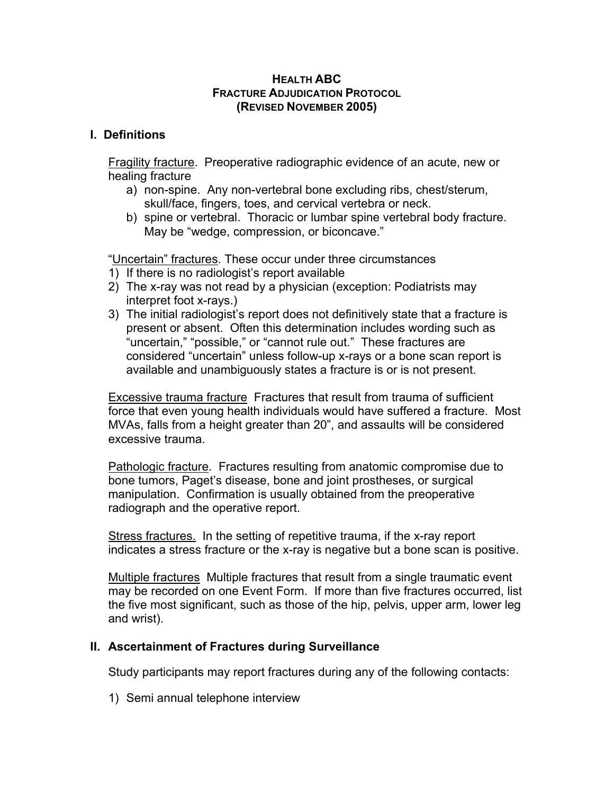#### **HEALTH ABC FRACTURE ADJUDICATION PROTOCOL (REVISED NOVEMBER 2005)**

### **I. Definitions**

Fragility fracture. Preoperative radiographic evidence of an acute, new or healing fracture

- a) non-spine. Any non-vertebral bone excluding ribs, chest/sterum, skull/face, fingers, toes, and cervical vertebra or neck.
- b) spine or vertebral. Thoracic or lumbar spine vertebral body fracture. May be "wedge, compression, or biconcave."

"Uncertain" fractures. These occur under three circumstances

- 1) If there is no radiologist's report available
- 2) The x-ray was not read by a physician (exception: Podiatrists may interpret foot x-rays.)
- 3) The initial radiologist's report does not definitively state that a fracture is present or absent. Often this determination includes wording such as "uncertain," "possible," or "cannot rule out." These fractures are considered "uncertain" unless follow-up x-rays or a bone scan report is available and unambiguously states a fracture is or is not present.

Excessive trauma fracture Fractures that result from trauma of sufficient force that even young health individuals would have suffered a fracture. Most MVAs, falls from a height greater than 20", and assaults will be considered excessive trauma.

Pathologic fracture. Fractures resulting from anatomic compromise due to bone tumors, Paget's disease, bone and joint prostheses, or surgical manipulation. Confirmation is usually obtained from the preoperative radiograph and the operative report.

Stress fractures. In the setting of repetitive trauma, if the x-ray report indicates a stress fracture or the x-ray is negative but a bone scan is positive.

Multiple fractures Multiple fractures that result from a single traumatic event may be recorded on one Event Form. If more than five fractures occurred, list the five most significant, such as those of the hip, pelvis, upper arm, lower leg and wrist).

#### **II. Ascertainment of Fractures during Surveillance**

Study participants may report fractures during any of the following contacts:

1) Semi annual telephone interview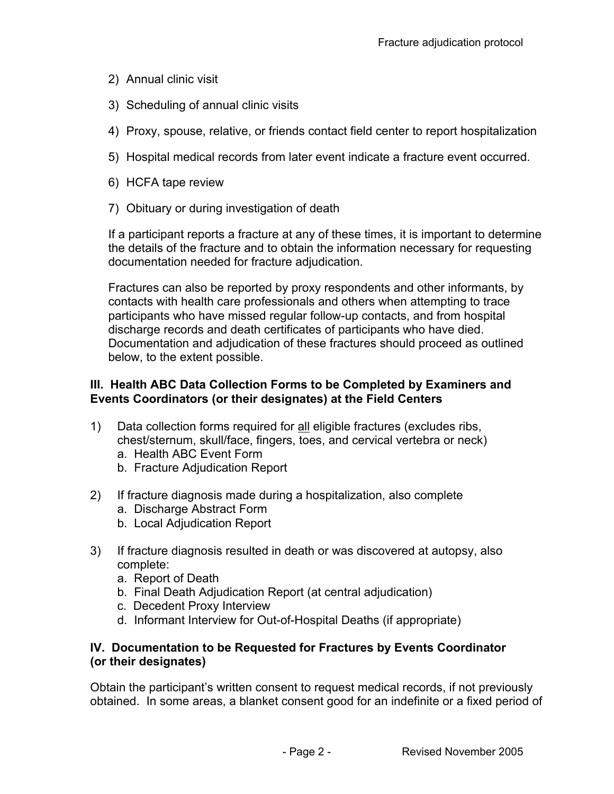- 2) Annual clinic visit
- 3) Scheduling of annual clinic visits
- 4) Proxy, spouse, relative, or friends contact field center to report hospitalization
- 5) Hospital medical records from later event indicate a fracture event occurred.
- 6) HCFA tape review
- 7) Obituary or during investigation of death

If a participant reports a fracture at any of these times, it is important to determine the details of the fracture and to obtain the information necessary for requesting documentation needed for fracture adjudication.

Fractures can also be reported by proxy respondents and other informants, by contacts with health care professionals and others when attempting to trace participants who have missed regular follow-up contacts, and from hospital discharge records and death certificates of participants who have died. Documentation and adjudication of these fractures should proceed as outlined below, to the extent possible.

#### **III. Health ABC Data Collection Forms to be Completed by Examiners and Events Coordinators (or their designates) at the Field Centers**

- 1) Data collection forms required for all eligible fractures (excludes ribs, chest/sternum, skull/face, fingers, toes, and cervical vertebra or neck)
	- a. Health ABC Event Form
	- b. Fracture Adjudication Report
- 2) If fracture diagnosis made during a hospitalization, also complete
	- a. Discharge Abstract Form
	- b. Local Adjudication Report
- 3) If fracture diagnosis resulted in death or was discovered at autopsy, also complete:
	- a. Report of Death
	- b. Final Death Adjudication Report (at central adjudication)
	- c. Decedent Proxy Interview
	- d. Informant Interview for Out-of-Hospital Deaths (if appropriate)

#### **IV. Documentation to be Requested for Fractures by Events Coordinator (or their designates)**

Obtain the participant's written consent to request medical records, if not previously obtained. In some areas, a blanket consent good for an indefinite or a fixed period of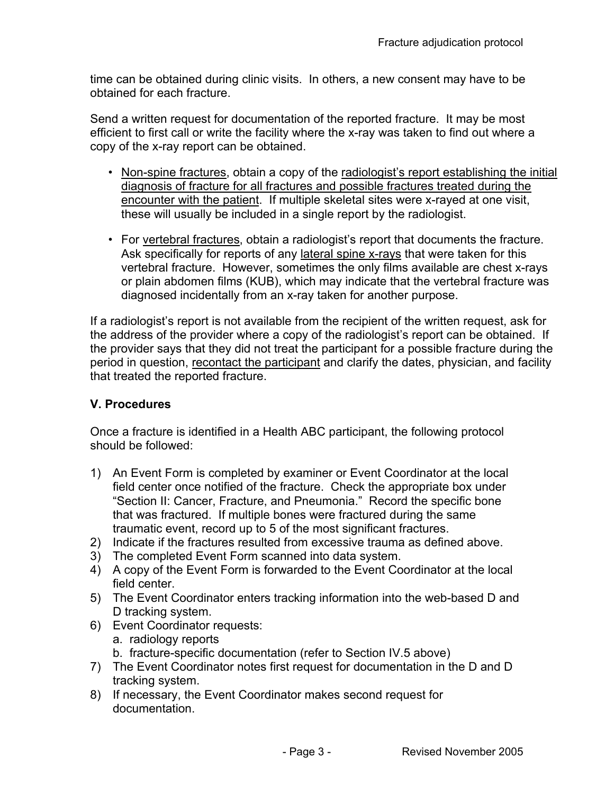time can be obtained during clinic visits. In others, a new consent may have to be obtained for each fracture.

Send a written request for documentation of the reported fracture. It may be most efficient to first call or write the facility where the x-ray was taken to find out where a copy of the x-ray report can be obtained.

- Non-spine fractures, obtain a copy of the radiologist's report establishing the initial diagnosis of fracture for all fractures and possible fractures treated during the encounter with the patient. If multiple skeletal sites were x-rayed at one visit, these will usually be included in a single report by the radiologist.
- For vertebral fractures, obtain a radiologist's report that documents the fracture. Ask specifically for reports of any lateral spine x-rays that were taken for this vertebral fracture. However, sometimes the only films available are chest x-rays or plain abdomen films (KUB), which may indicate that the vertebral fracture was diagnosed incidentally from an x-ray taken for another purpose.

If a radiologist's report is not available from the recipient of the written request, ask for the address of the provider where a copy of the radiologist's report can be obtained. If the provider says that they did not treat the participant for a possible fracture during the period in question, recontact the participant and clarify the dates, physician, and facility that treated the reported fracture.

## **V. Procedures**

Once a fracture is identified in a Health ABC participant, the following protocol should be followed:

- 1) An Event Form is completed by examiner or Event Coordinator at the local field center once notified of the fracture. Check the appropriate box under "Section II: Cancer, Fracture, and Pneumonia." Record the specific bone that was fractured. If multiple bones were fractured during the same traumatic event, record up to 5 of the most significant fractures.
- 2) Indicate if the fractures resulted from excessive trauma as defined above.
- 3) The completed Event Form scanned into data system.
- 4) A copy of the Event Form is forwarded to the Event Coordinator at the local field center.
- 5) The Event Coordinator enters tracking information into the web-based D and D tracking system.
- 6) Event Coordinator requests:
	- a. radiology reports
	- b. fracture-specific documentation (refer to Section IV.5 above)
- 7) The Event Coordinator notes first request for documentation in the D and D tracking system.
- 8) If necessary, the Event Coordinator makes second request for documentation.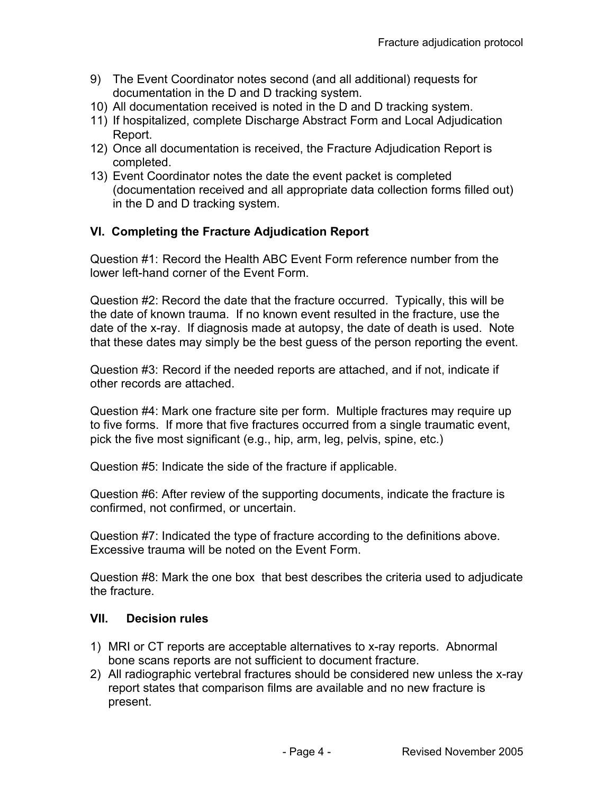- 9) The Event Coordinator notes second (and all additional) requests for documentation in the D and D tracking system.
- 10) All documentation received is noted in the D and D tracking system.
- 11) If hospitalized, complete Discharge Abstract Form and Local Adjudication Report.
- 12) Once all documentation is received, the Fracture Adjudication Report is completed.
- 13) Event Coordinator notes the date the event packet is completed (documentation received and all appropriate data collection forms filled out) in the D and D tracking system.

# **VI. Completing the Fracture Adjudication Report**

Question #1: Record the Health ABC Event Form reference number from the lower left-hand corner of the Event Form.

Question #2: Record the date that the fracture occurred. Typically, this will be the date of known trauma. If no known event resulted in the fracture, use the date of the x-ray. If diagnosis made at autopsy, the date of death is used. Note that these dates may simply be the best guess of the person reporting the event.

Question #3: Record if the needed reports are attached, and if not, indicate if other records are attached.

Question #4: Mark one fracture site per form. Multiple fractures may require up to five forms. If more that five fractures occurred from a single traumatic event, pick the five most significant (e.g., hip, arm, leg, pelvis, spine, etc.)

Question #5: Indicate the side of the fracture if applicable.

Question #6: After review of the supporting documents, indicate the fracture is confirmed, not confirmed, or uncertain.

Question #7: Indicated the type of fracture according to the definitions above. Excessive trauma will be noted on the Event Form.

Question #8: Mark the one box that best describes the criteria used to adjudicate the fracture.

## **VII. Decision rules**

- 1) MRI or CT reports are acceptable alternatives to x-ray reports. Abnormal bone scans reports are not sufficient to document fracture.
- 2) All radiographic vertebral fractures should be considered new unless the x-ray report states that comparison films are available and no new fracture is present.